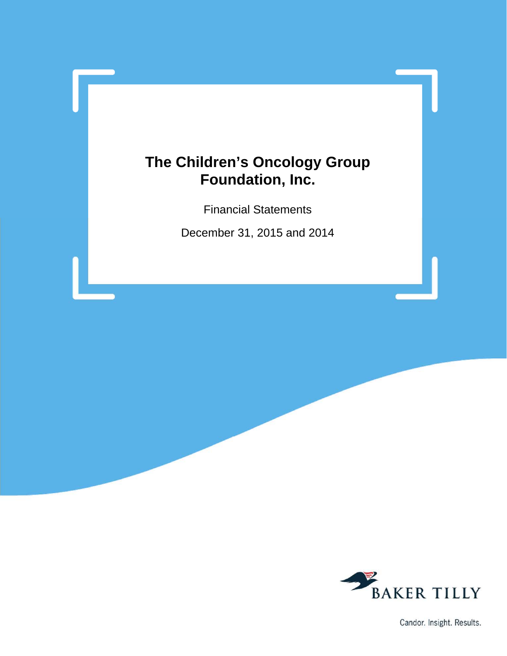Financial Statements

December 31, 2015 and 2014



Candor. Insight. Results.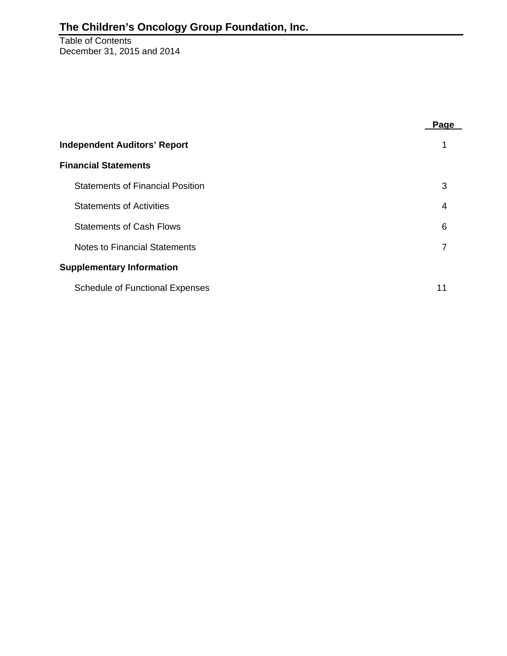#### Table of Contents December 31, 2015 and 2014

|                                         | Page |
|-----------------------------------------|------|
| <b>Independent Auditors' Report</b>     |      |
| <b>Financial Statements</b>             |      |
| <b>Statements of Financial Position</b> | 3    |
| <b>Statements of Activities</b>         | 4    |
| <b>Statements of Cash Flows</b>         | 6    |
| Notes to Financial Statements           | 7    |
| <b>Supplementary Information</b>        |      |
| <b>Schedule of Functional Expenses</b>  | 11   |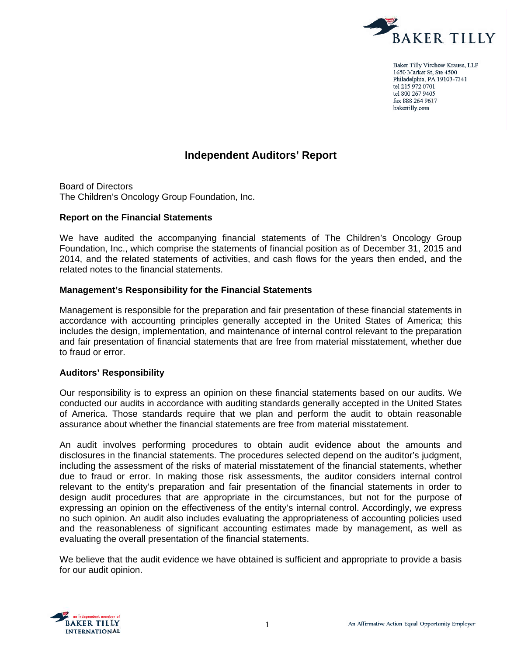

Baker Tilly Virchow Krause, LLP 1650 Market St, Ste 4500 Philadelphia, PA 19103-7341 tel 215 972 0701 tel 800 267 9405 fax 888 264 9617 bakertilly.com

# **Independent Auditors' Report**

Board of Directors The Children's Oncology Group Foundation, Inc.

#### **Report on the Financial Statements**

We have audited the accompanying financial statements of The Children's Oncology Group Foundation, Inc., which comprise the statements of financial position as of December 31, 2015 and 2014, and the related statements of activities, and cash flows for the years then ended, and the related notes to the financial statements.

#### **Management's Responsibility for the Financial Statements**

Management is responsible for the preparation and fair presentation of these financial statements in accordance with accounting principles generally accepted in the United States of America; this includes the design, implementation, and maintenance of internal control relevant to the preparation and fair presentation of financial statements that are free from material misstatement, whether due to fraud or error.

#### **Auditors' Responsibility**

Our responsibility is to express an opinion on these financial statements based on our audits. We conducted our audits in accordance with auditing standards generally accepted in the United States of America. Those standards require that we plan and perform the audit to obtain reasonable assurance about whether the financial statements are free from material misstatement.

An audit involves performing procedures to obtain audit evidence about the amounts and disclosures in the financial statements. The procedures selected depend on the auditor's judgment, including the assessment of the risks of material misstatement of the financial statements, whether due to fraud or error. In making those risk assessments, the auditor considers internal control relevant to the entity's preparation and fair presentation of the financial statements in order to design audit procedures that are appropriate in the circumstances, but not for the purpose of expressing an opinion on the effectiveness of the entity's internal control. Accordingly, we express no such opinion. An audit also includes evaluating the appropriateness of accounting policies used and the reasonableness of significant accounting estimates made by management, as well as evaluating the overall presentation of the financial statements.

We believe that the audit evidence we have obtained is sufficient and appropriate to provide a basis for our audit opinion.

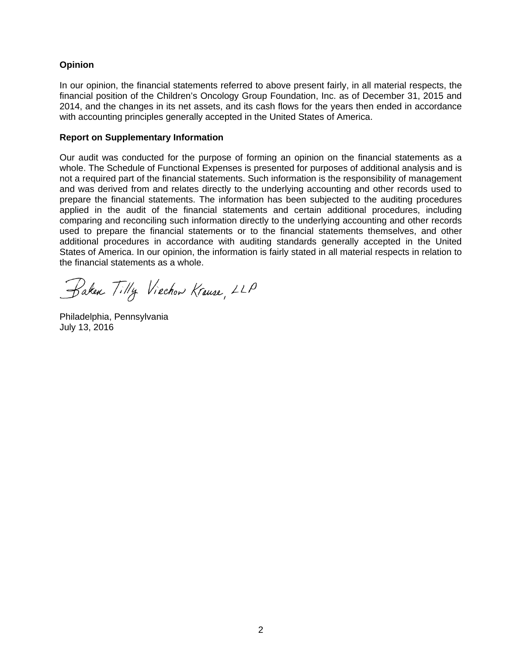### **Opinion**

In our opinion, the financial statements referred to above present fairly, in all material respects, the financial position of the Children's Oncology Group Foundation, Inc. as of December 31, 2015 and 2014, and the changes in its net assets, and its cash flows for the years then ended in accordance with accounting principles generally accepted in the United States of America.

#### **Report on Supplementary Information**

Our audit was conducted for the purpose of forming an opinion on the financial statements as a whole. The Schedule of Functional Expenses is presented for purposes of additional analysis and is not a required part of the financial statements. Such information is the responsibility of management and was derived from and relates directly to the underlying accounting and other records used to prepare the financial statements. The information has been subjected to the auditing procedures applied in the audit of the financial statements and certain additional procedures, including comparing and reconciling such information directly to the underlying accounting and other records used to prepare the financial statements or to the financial statements themselves, and other additional procedures in accordance with auditing standards generally accepted in the United States of America. In our opinion, the information is fairly stated in all material respects in relation to the financial statements as a whole.

Baken Tilly Viechow Krause, LLP

Philadelphia, Pennsylvania July 13, 2016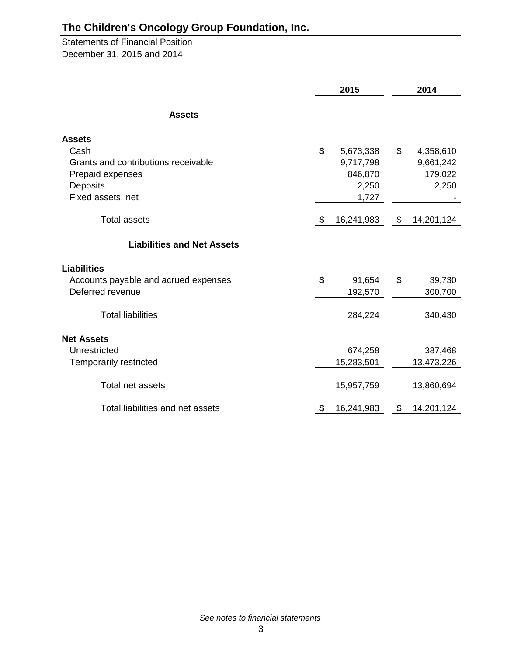Statements of Financial Position December 31, 2015 and 2014

|                                      | 2015             | 2014             |
|--------------------------------------|------------------|------------------|
| <b>Assets</b>                        |                  |                  |
| <b>Assets</b>                        |                  |                  |
| Cash                                 | \$<br>5,673,338  | \$<br>4,358,610  |
| Grants and contributions receivable  | 9,717,798        | 9,661,242        |
| Prepaid expenses                     | 846,870          | 179,022          |
| <b>Deposits</b>                      | 2,250            | 2,250            |
| Fixed assets, net                    | 1,727            |                  |
| <b>Total assets</b>                  | \$<br>16,241,983 | \$<br>14,201,124 |
| <b>Liabilities and Net Assets</b>    |                  |                  |
| <b>Liabilities</b>                   |                  |                  |
| Accounts payable and acrued expenses | \$<br>91,654     | \$<br>39,730     |
| Deferred revenue                     | 192,570          | 300,700          |
| <b>Total liabilities</b>             | 284,224          | 340,430          |
| <b>Net Assets</b>                    |                  |                  |
| Unrestricted                         | 674,258          | 387,468          |
| <b>Temporarily restricted</b>        | 15,283,501       | 13,473,226       |
| Total net assets                     | 15,957,759       | 13,860,694       |
| Total liabilities and net assets     | \$<br>16,241,983 | \$<br>14,201,124 |

*See notes to financial statements*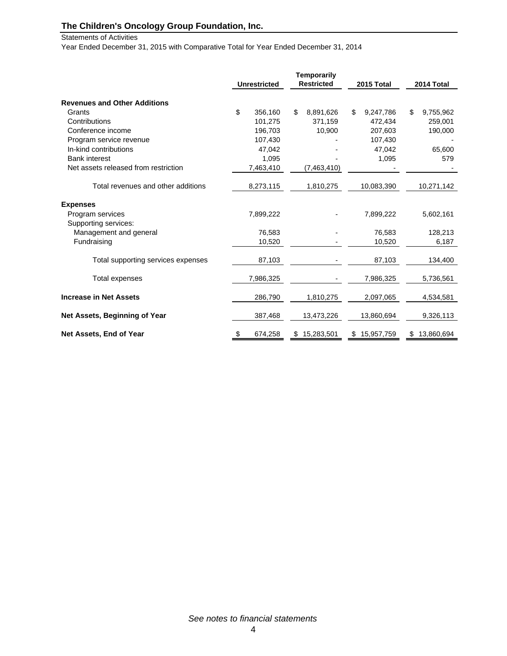Statements of Activities

Year Ended December 31, 2015 with Comparative Total for Year Ended December 31, 2014

|                                      | <b>Unrestricted</b> | <b>Temporarily</b><br><b>Restricted</b> | 2015 Total       | 2014 Total       |
|--------------------------------------|---------------------|-----------------------------------------|------------------|------------------|
| <b>Revenues and Other Additions</b>  |                     |                                         |                  |                  |
| Grants                               | \$<br>356,160       | \$<br>8,891,626                         | \$<br>9,247,786  | \$<br>9,755,962  |
| Contributions                        | 101,275             | 371,159                                 | 472,434          | 259,001          |
| Conference income                    | 196,703             | 10,900                                  | 207,603          | 190,000          |
| Program service revenue              | 107,430             |                                         | 107,430          |                  |
| In-kind contributions                | 47,042              |                                         | 47.042           | 65,600           |
| <b>Bank interest</b>                 | 1,095               |                                         | 1,095            | 579              |
| Net assets released from restriction | 7,463,410           | (7,463,410)                             |                  |                  |
| Total revenues and other additions   | 8,273,115           | 1,810,275                               | 10,083,390       | 10,271,142       |
| <b>Expenses</b>                      |                     |                                         |                  |                  |
| Program services                     | 7,899,222           |                                         | 7,899,222        | 5,602,161        |
| Supporting services:                 |                     |                                         |                  |                  |
| Management and general               | 76,583              |                                         | 76,583           | 128,213          |
| Fundraising                          | 10,520              |                                         | 10,520           | 6,187            |
| Total supporting services expenses   | 87,103              |                                         | 87,103           | 134,400          |
| Total expenses                       | 7,986,325           |                                         | 7,986,325        | 5,736,561        |
| <b>Increase in Net Assets</b>        | 286,790             | 1,810,275                               | 2,097,065        | 4,534,581        |
| Net Assets, Beginning of Year        | 387,468             | 13,473,226                              | 13,860,694       | 9,326,113        |
| Net Assets, End of Year              | \$<br>674,258       | \$<br>15,283,501                        | \$<br>15,957,759 | \$<br>13,860,694 |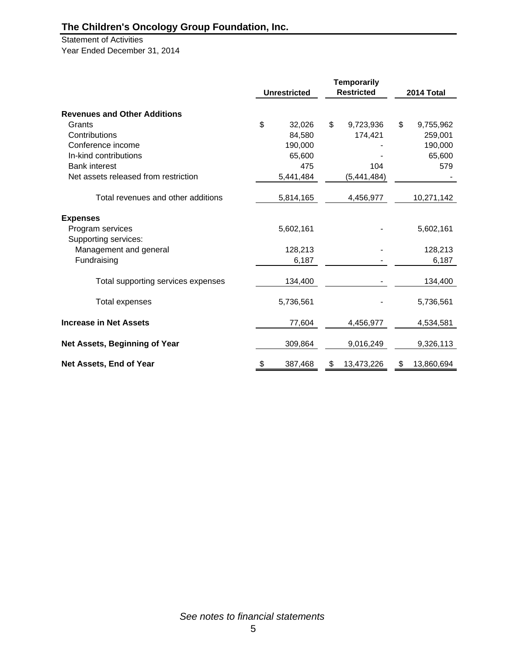Statement of Activities Year Ended December 31, 2014

|                                      |                     | <b>Temporarily</b> |                  |
|--------------------------------------|---------------------|--------------------|------------------|
|                                      | <b>Unrestricted</b> | <b>Restricted</b>  | 2014 Total       |
| <b>Revenues and Other Additions</b>  |                     |                    |                  |
| Grants                               | \$<br>32,026        | \$<br>9,723,936    | \$<br>9,755,962  |
| Contributions                        | 84,580              | 174,421            | 259,001          |
| Conference income                    | 190,000             |                    | 190,000          |
| In-kind contributions                | 65,600              |                    | 65,600           |
| <b>Bank interest</b>                 | 475                 | 104                | 579              |
| Net assets released from restriction | 5,441,484           | (5,441,484)        |                  |
| Total revenues and other additions   | 5,814,165           | 4,456,977          | 10,271,142       |
| <b>Expenses</b>                      |                     |                    |                  |
| Program services                     | 5,602,161           |                    | 5,602,161        |
| Supporting services:                 |                     |                    |                  |
| Management and general               | 128,213             |                    | 128,213          |
| Fundraising                          | 6,187               |                    | 6,187            |
| Total supporting services expenses   | 134,400             |                    | 134,400          |
| <b>Total expenses</b>                | 5,736,561           |                    | 5,736,561        |
| <b>Increase in Net Assets</b>        | 77,604              | 4,456,977          | 4,534,581        |
| Net Assets, Beginning of Year        | 309,864             | 9,016,249          | 9,326,113        |
| Net Assets, End of Year              | \$<br>387,468       | \$<br>13,473,226   | \$<br>13,860,694 |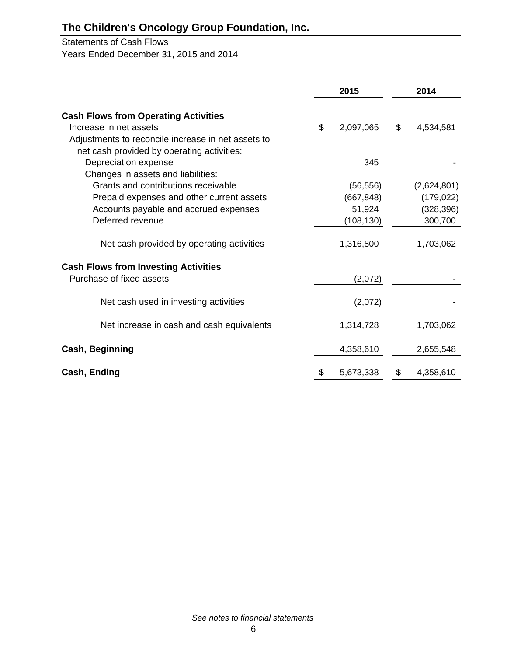#### Statements of Cash Flows

Years Ended December 31, 2015 and 2014

|                                                    | 2015            | 2014            |
|----------------------------------------------------|-----------------|-----------------|
| <b>Cash Flows from Operating Activities</b>        |                 |                 |
| Increase in net assets                             | \$<br>2,097,065 | \$<br>4,534,581 |
| Adjustments to reconcile increase in net assets to |                 |                 |
| net cash provided by operating activities:         |                 |                 |
| Depreciation expense                               | 345             |                 |
| Changes in assets and liabilities:                 |                 |                 |
| Grants and contributions receivable                | (56, 556)       | (2,624,801)     |
| Prepaid expenses and other current assets          | (667, 848)      | (179, 022)      |
| Accounts payable and accrued expenses              | 51,924          | (328, 396)      |
| Deferred revenue                                   | (108, 130)      | 300,700         |
| Net cash provided by operating activities          | 1,316,800       | 1,703,062       |
| <b>Cash Flows from Investing Activities</b>        |                 |                 |
| Purchase of fixed assets                           | (2,072)         |                 |
| Net cash used in investing activities              | (2,072)         |                 |
| Net increase in cash and cash equivalents          | 1,314,728       | 1,703,062       |
| <b>Cash, Beginning</b>                             | 4,358,610       | 2,655,548       |
| Cash, Ending                                       | 5,673,338       | \$<br>4,358,610 |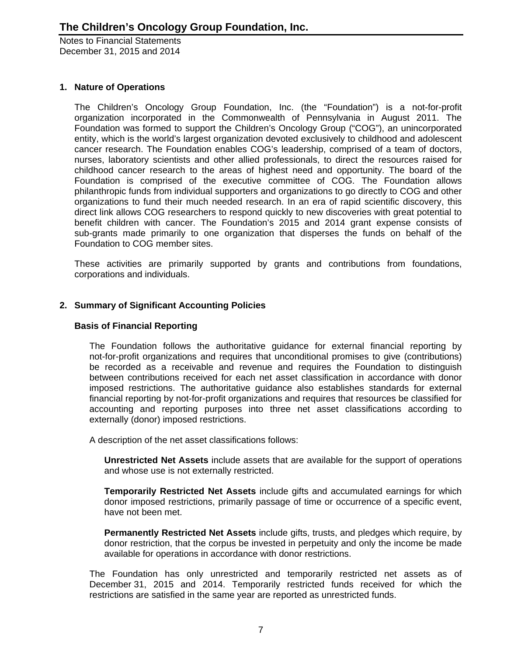## **1. Nature of Operations**

The Children's Oncology Group Foundation, Inc. (the "Foundation") is a not-for-profit organization incorporated in the Commonwealth of Pennsylvania in August 2011. The Foundation was formed to support the Children's Oncology Group ("COG"), an unincorporated entity, which is the world's largest organization devoted exclusively to childhood and adolescent cancer research. The Foundation enables COG's leadership, comprised of a team of doctors, nurses, laboratory scientists and other allied professionals, to direct the resources raised for childhood cancer research to the areas of highest need and opportunity. The board of the Foundation is comprised of the executive committee of COG. The Foundation allows philanthropic funds from individual supporters and organizations to go directly to COG and other organizations to fund their much needed research. In an era of rapid scientific discovery, this direct link allows COG researchers to respond quickly to new discoveries with great potential to benefit children with cancer. The Foundation's 2015 and 2014 grant expense consists of sub-grants made primarily to one organization that disperses the funds on behalf of the Foundation to COG member sites.

These activities are primarily supported by grants and contributions from foundations, corporations and individuals.

# **2. Summary of Significant Accounting Policies**

#### **Basis of Financial Reporting**

The Foundation follows the authoritative guidance for external financial reporting by not-for-profit organizations and requires that unconditional promises to give (contributions) be recorded as a receivable and revenue and requires the Foundation to distinguish between contributions received for each net asset classification in accordance with donor imposed restrictions. The authoritative guidance also establishes standards for external financial reporting by not-for-profit organizations and requires that resources be classified for accounting and reporting purposes into three net asset classifications according to externally (donor) imposed restrictions.

A description of the net asset classifications follows:

**Unrestricted Net Assets** include assets that are available for the support of operations and whose use is not externally restricted.

**Temporarily Restricted Net Assets** include gifts and accumulated earnings for which donor imposed restrictions, primarily passage of time or occurrence of a specific event, have not been met.

**Permanently Restricted Net Assets** include gifts, trusts, and pledges which require, by donor restriction, that the corpus be invested in perpetuity and only the income be made available for operations in accordance with donor restrictions.

The Foundation has only unrestricted and temporarily restricted net assets as of December 31, 2015 and 2014. Temporarily restricted funds received for which the restrictions are satisfied in the same year are reported as unrestricted funds.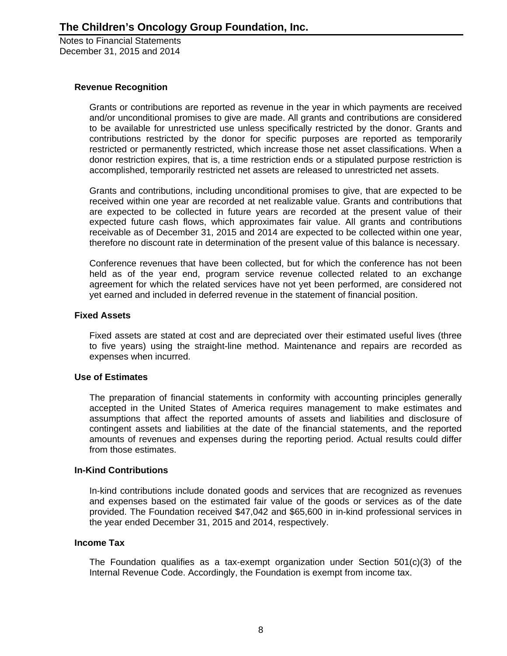### **Revenue Recognition**

Grants or contributions are reported as revenue in the year in which payments are received and/or unconditional promises to give are made. All grants and contributions are considered to be available for unrestricted use unless specifically restricted by the donor. Grants and contributions restricted by the donor for specific purposes are reported as temporarily restricted or permanently restricted, which increase those net asset classifications. When a donor restriction expires, that is, a time restriction ends or a stipulated purpose restriction is accomplished, temporarily restricted net assets are released to unrestricted net assets.

Grants and contributions, including unconditional promises to give, that are expected to be received within one year are recorded at net realizable value. Grants and contributions that are expected to be collected in future years are recorded at the present value of their expected future cash flows, which approximates fair value. All grants and contributions receivable as of December 31, 2015 and 2014 are expected to be collected within one year, therefore no discount rate in determination of the present value of this balance is necessary.

Conference revenues that have been collected, but for which the conference has not been held as of the year end, program service revenue collected related to an exchange agreement for which the related services have not yet been performed, are considered not yet earned and included in deferred revenue in the statement of financial position.

### **Fixed Assets**

Fixed assets are stated at cost and are depreciated over their estimated useful lives (three to five years) using the straight-line method. Maintenance and repairs are recorded as expenses when incurred.

### **Use of Estimates**

The preparation of financial statements in conformity with accounting principles generally accepted in the United States of America requires management to make estimates and assumptions that affect the reported amounts of assets and liabilities and disclosure of contingent assets and liabilities at the date of the financial statements, and the reported amounts of revenues and expenses during the reporting period. Actual results could differ from those estimates.

### **In-Kind Contributions**

In-kind contributions include donated goods and services that are recognized as revenues and expenses based on the estimated fair value of the goods or services as of the date provided. The Foundation received \$47,042 and \$65,600 in in-kind professional services in the year ended December 31, 2015 and 2014, respectively.

#### **Income Tax**

The Foundation qualifies as a tax-exempt organization under Section 501(c)(3) of the Internal Revenue Code. Accordingly, the Foundation is exempt from income tax.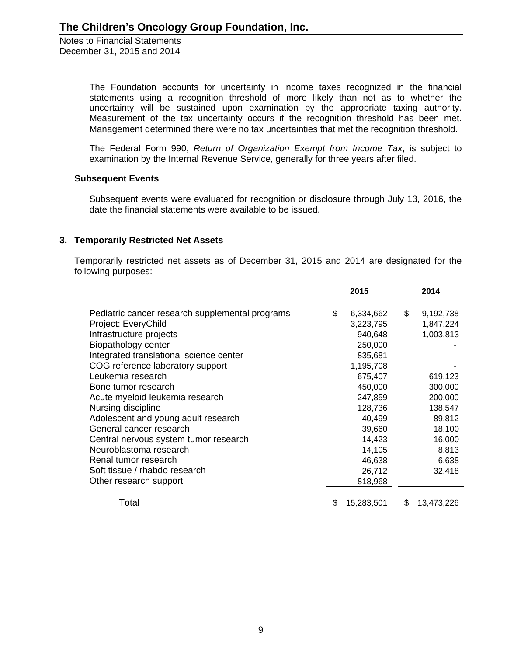> The Foundation accounts for uncertainty in income taxes recognized in the financial statements using a recognition threshold of more likely than not as to whether the uncertainty will be sustained upon examination by the appropriate taxing authority. Measurement of the tax uncertainty occurs if the recognition threshold has been met. Management determined there were no tax uncertainties that met the recognition threshold.

> The Federal Form 990, *Return of Organization Exempt from Income Tax*, is subject to examination by the Internal Revenue Service, generally for three years after filed.

#### **Subsequent Events**

Subsequent events were evaluated for recognition or disclosure through July 13, 2016, the date the financial statements were available to be issued.

### **3. Temporarily Restricted Net Assets**

Temporarily restricted net assets as of December 31, 2015 and 2014 are designated for the following purposes:

|                                                 | 2015             | 2014             |
|-------------------------------------------------|------------------|------------------|
|                                                 |                  |                  |
| Pediatric cancer research supplemental programs | \$<br>6,334,662  | \$<br>9,192,738  |
| Project: EveryChild                             | 3,223,795        | 1,847,224        |
| Infrastructure projects                         | 940,648          | 1,003,813        |
| Biopathology center                             | 250,000          |                  |
| Integrated translational science center         | 835,681          |                  |
| COG reference laboratory support                | 1,195,708        |                  |
| Leukemia research                               | 675,407          | 619,123          |
| Bone tumor research                             | 450,000          | 300,000          |
| Acute myeloid leukemia research                 | 247,859          | 200,000          |
| Nursing discipline                              | 128,736          | 138,547          |
| Adolescent and young adult research             | 40,499           | 89,812           |
| General cancer research                         | 39,660           | 18,100           |
| Central nervous system tumor research           | 14,423           | 16,000           |
| Neuroblastoma research                          | 14,105           | 8,813            |
| Renal tumor research                            | 46,638           | 6,638            |
| Soft tissue / rhabdo research                   | 26,712           | 32,418           |
| Other research support                          | 818,968          |                  |
|                                                 |                  |                  |
| Total                                           | \$<br>15,283,501 | \$<br>13,473,226 |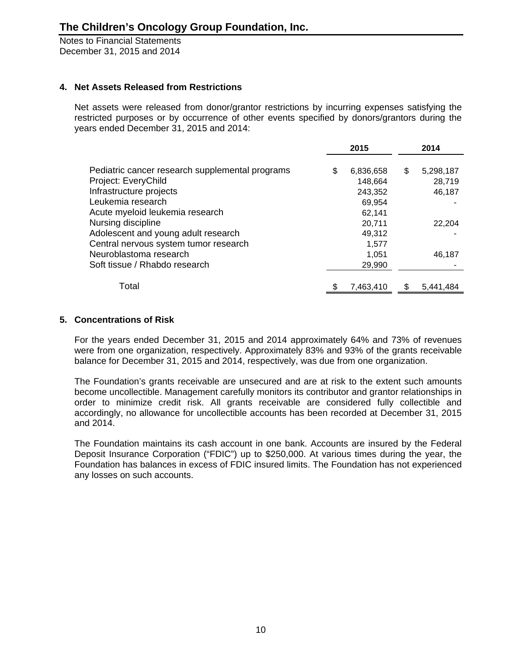# **4. Net Assets Released from Restrictions**

Net assets were released from donor/grantor restrictions by incurring expenses satisfying the restricted purposes or by occurrence of other events specified by donors/grantors during the years ended December 31, 2015 and 2014:

|                                                 | 2015            |   | 2014      |
|-------------------------------------------------|-----------------|---|-----------|
| Pediatric cancer research supplemental programs | \$<br>6,836,658 | S | 5,298,187 |
| Project: EveryChild                             | 148,664         |   | 28,719    |
| Infrastructure projects                         | 243,352         |   | 46,187    |
| Leukemia research                               | 69,954          |   |           |
| Acute myeloid leukemia research                 | 62,141          |   |           |
| Nursing discipline                              | 20,711          |   | 22,204    |
| Adolescent and young adult research             | 49,312          |   |           |
| Central nervous system tumor research           | 1.577           |   |           |
| Neuroblastoma research                          | 1,051           |   | 46,187    |
| Soft tissue / Rhabdo research                   | 29,990          |   |           |
| Total                                           | 7,463,410       |   | 5,441,484 |

# **5. Concentrations of Risk**

For the years ended December 31, 2015 and 2014 approximately 64% and 73% of revenues were from one organization, respectively. Approximately 83% and 93% of the grants receivable balance for December 31, 2015 and 2014, respectively, was due from one organization.

The Foundation's grants receivable are unsecured and are at risk to the extent such amounts become uncollectible. Management carefully monitors its contributor and grantor relationships in order to minimize credit risk. All grants receivable are considered fully collectible and accordingly, no allowance for uncollectible accounts has been recorded at December 31, 2015 and 2014.

The Foundation maintains its cash account in one bank. Accounts are insured by the Federal Deposit Insurance Corporation ("FDIC") up to \$250,000. At various times during the year, the Foundation has balances in excess of FDIC insured limits. The Foundation has not experienced any losses on such accounts.